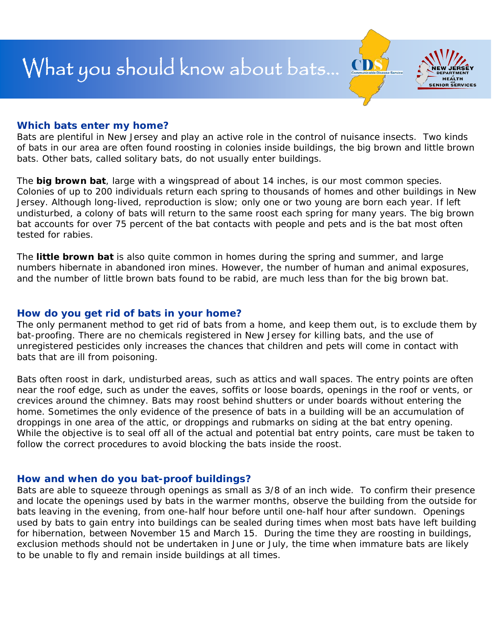

## **Which bats enter my home?**

Bats are plentiful in New Jersey and play an active role in the control of nuisance insects. Two kinds of bats in our area are often found roosting in colonies inside buildings, the big brown and little brown bats. Other bats, called solitary bats, do not usually enter buildings.

The **big brown bat**, large with a wingspread of about 14 inches, is our most common species. Colonies of up to 200 individuals return each spring to thousands of homes and other buildings in New Jersey. Although long-lived, reproduction is slow; only one or two young are born each year. If left undisturbed, a colony of bats will return to the same roost each spring for many years. The big brown bat accounts for over 75 percent of the bat contacts with people and pets and is the bat most often tested for rabies.

The **little brown bat** is also quite common in homes during the spring and summer, and large numbers hibernate in abandoned iron mines. However, the number of human and animal exposures, and the number of little brown bats found to be rabid, are much less than for the big brown bat.

## **How do you get rid of bats in your home?**

The only permanent method to get rid of bats from a home, and keep them out, is to exclude them by bat-proofing. There are no chemicals registered in New Jersey for killing bats, and the use of unregistered pesticides only increases the chances that children and pets will come in contact with bats that are ill from poisoning.

Bats often roost in dark, undisturbed areas, such as attics and wall spaces. The entry points are often near the roof edge, such as under the eaves, soffits or loose boards, openings in the roof or vents, or crevices around the chimney. Bats may roost behind shutters or under boards without entering the home. Sometimes the only evidence of the presence of bats in a building will be an accumulation of droppings in one area of the attic, or droppings and rubmarks on siding at the bat entry opening. While the objective is to seal off all of the actual and potential bat entry points, care must be taken to follow the correct procedures to avoid blocking the bats inside the roost.

#### **How and when do you bat-proof buildings?**

Bats are able to squeeze through openings as small as 3/8 of an inch wide. To confirm their presence and locate the openings used by bats in the warmer months, observe the building from the outside for bats leaving in the evening, from one-half hour before until one-half hour after sundown. Openings used by bats to gain entry into buildings can be sealed during times when most bats have left building for hibernation, between November 15 and March 15. During the time they are roosting in buildings, exclusion methods should not be undertaken in June or July, the time when immature bats are likely to be unable to fly and remain inside buildings at all times.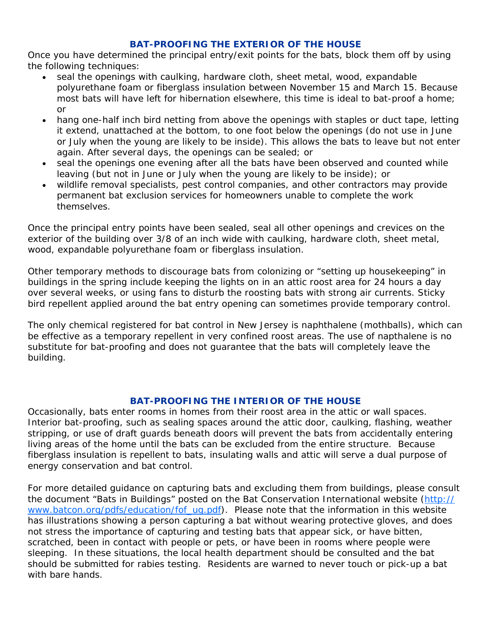## **BAT-PROOFING THE EXTERIOR OF THE HOUSE**

Once you have determined the principal entry/exit points for the bats, block them off by using the following techniques:

- seal the openings with caulking, hardware cloth, sheet metal, wood, expandable polyurethane foam or fiberglass insulation between November 15 and March 15. Because most bats will have left for hibernation elsewhere, this time is ideal to bat-proof a home; or
- hang one-half inch bird netting from above the openings with staples or duct tape, letting it extend, unattached at the bottom, to one foot below the openings (do not use in June or July when the young are likely to be inside). This allows the bats to leave but not enter again. After several days, the openings can be sealed; or
- seal the openings one evening after all the bats have been observed and counted while leaving (but not in June or July when the young are likely to be inside); or
- wildlife removal specialists, pest control companies, and other contractors may provide permanent bat exclusion services for homeowners unable to complete the work themselves.

Once the principal entry points have been sealed, seal all other openings and crevices on the exterior of the building over 3/8 of an inch wide with caulking, hardware cloth, sheet metal, wood, expandable polyurethane foam or fiberglass insulation.

Other temporary methods to discourage bats from colonizing or "setting up housekeeping" in buildings in the spring include keeping the lights on in an attic roost area for 24 hours a day over several weeks, or using fans to disturb the roosting bats with strong air currents. Sticky bird repellent applied around the bat entry opening can sometimes provide temporary control.

The only chemical registered for bat control in New Jersey is naphthalene (mothballs), which can be effective as a temporary repellent in very confined roost areas. The use of napthalene is no substitute for bat-proofing and does not guarantee that the bats will completely leave the building.

#### **BAT-PROOFING THE INTERIOR OF THE HOUSE**

Occasionally, bats enter rooms in homes from their roost area in the attic or wall spaces. Interior bat-proofing, such as sealing spaces around the attic door, caulking, flashing, weather stripping, or use of draft guards beneath doors will prevent the bats from accidentally entering living areas of the home until the bats can be excluded from the entire structure. Because fiberglass insulation is repellent to bats, insulating walls and attic will serve a dual purpose of energy conservation and bat control.

For more detailed guidance on capturing bats and excluding them from buildings, please consult the document "Bats in Buildings" posted on the Bat Conservation International website [\(http://](http://www.batcon.org/pdfs/education/fof_ug.pdf) [www.batcon.org/pdfs/education/fof\\_ug.pdf](http://www.batcon.org/pdfs/education/fof_ug.pdf)). Please note that the information in this website has illustrations showing a person capturing a bat without wearing protective gloves, and does not stress the importance of capturing and testing bats that appear sick, or have bitten, scratched, been in contact with people or pets, or have been in rooms where people were sleeping. In these situations, the local health department should be consulted and the bat should be submitted for rabies testing. Residents are warned to never touch or pick-up a bat with bare hands.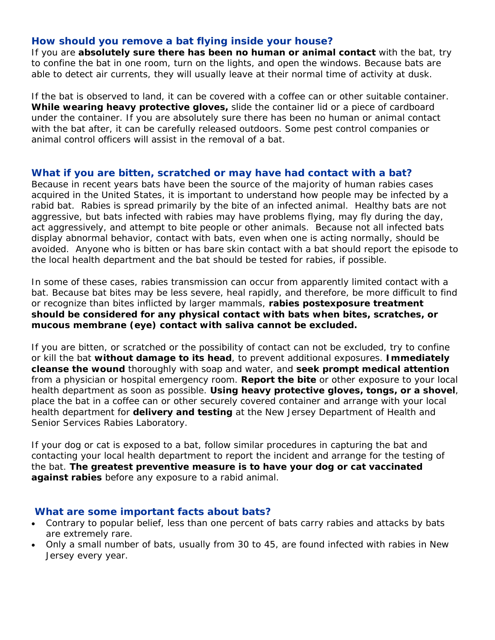## **How should you remove a bat flying inside your house?**

If you are **absolutely sure there has been no human or animal contact** with the bat, try to confine the bat in one room, turn on the lights, and open the windows. Because bats are able to detect air currents, they will usually leave at their normal time of activity at dusk.

If the bat is observed to land, it can be covered with a coffee can or other suitable container. *While wearing heavy protective gloves,* slide the container lid or a piece of cardboard under the container. If you are absolutely sure there has been no human or animal contact with the bat after, it can be carefully released outdoors. Some pest control companies or animal control officers will assist in the removal of a bat.

## **What if you are bitten, scratched or may have had contact with a bat?**

Because in recent years bats have been the source of the majority of human rabies cases acquired in the United States, it is important to understand how people may be infected by a rabid bat. Rabies is spread primarily by the bite of an infected animal. Healthy bats are not aggressive, but bats infected with rabies may have problems flying, may fly during the day, act aggressively, and attempt to bite people or other animals. Because not all infected bats display abnormal behavior, contact with bats, even when one is acting normally, should be avoided. Anyone who is bitten or has bare skin contact with a bat should report the episode to the local health department and the bat should be tested for rabies, if possible.

In some of these cases, rabies transmission can occur from apparently limited contact with a bat. Because bat bites may be less severe, heal rapidly, and therefore, be more difficult to find or recognize than bites inflicted by larger mammals, *rabies postexposure treatment should be considered for any physical contact with bats when bites, scratches, or mucous membrane (eye) contact with saliva cannot be excluded.*

If you are bitten, or scratched or the possibility of contact can not be excluded, try to confine or kill the bat *without damage to its head*, to prevent additional exposures. *Immediately cleanse the wound* thoroughly with soap and water, and *seek prompt medical attention* from a physician or hospital emergency room. *Report the bite* or other exposure to your local health department as soon as possible. *Using heavy protective gloves, tongs, or a shovel*, place the bat in a coffee can or other securely covered container and arrange with your local health department for *delivery and testing* at the New Jersey Department of Health and Senior Services Rabies Laboratory.

If your dog or cat is exposed to a bat, follow similar procedures in capturing the bat and contacting your local health department to report the incident and arrange for the testing of the bat. *The greatest preventive measure is to have your dog or cat vaccinated against rabies* before any exposure to a rabid animal.

## **What are some important facts about bats?**

- Contrary to popular belief, less than one percent of bats carry rabies and attacks by bats are extremely rare.
- Only a small number of bats, usually from 30 to 45, are found infected with rabies in New Jersey every year.